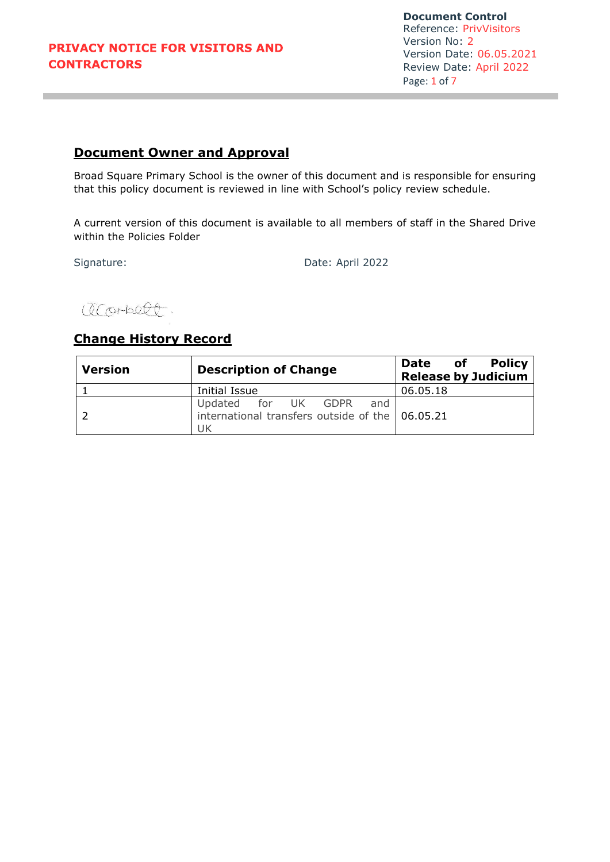**Document Control** Reference: PrivVisitors Version No: 2 Version Date: 06.05.2021 Review Date: April 2022 Page: 1 of 7

# **Document Owner and Approval**

Broad Square Primary School is the owner of this document and is responsible for ensuring that this policy document is reviewed in line with School's policy review schedule.

A current version of this document is available to all members of staff in the Shared Drive within the Policies Folder

Signature: Date: April 2022

acorbett

# **Change History Record**

| <b>Version</b> | <b>Description of Change</b>                                                        | Policy<br>of<br><b>Date</b><br><b>Release by Judicium</b> |
|----------------|-------------------------------------------------------------------------------------|-----------------------------------------------------------|
|                | Initial Issue                                                                       | 06.05.18                                                  |
|                | Updated for UK GDPR<br>and<br>international transfers outside of the 06.05.21<br>UK |                                                           |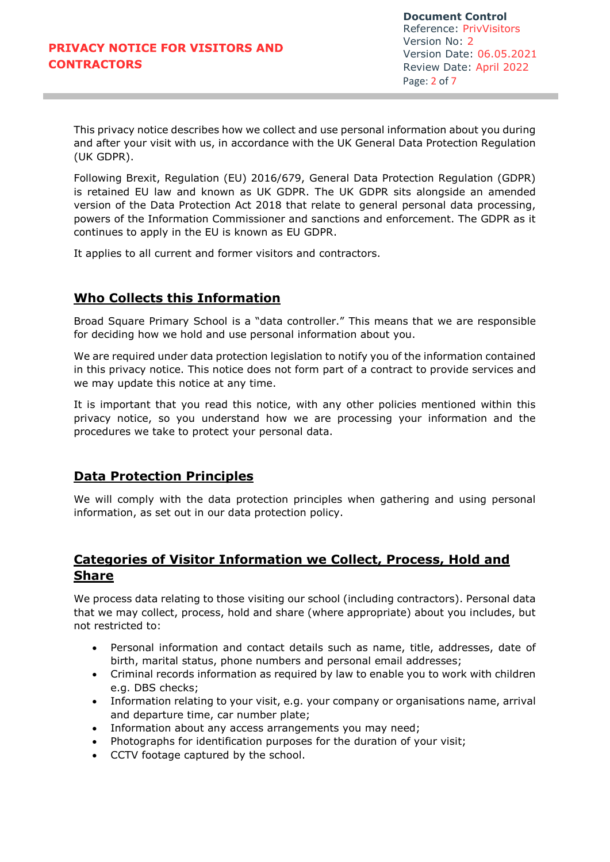**Document Control** Reference: PrivVisitors Version No: 2 Version Date: 06.05.2021 Review Date: April 2022 Page: 2 of 7

This privacy notice describes how we collect and use personal information about you during and after your visit with us, in accordance with the UK General Data Protection Regulation (UK GDPR).

Following Brexit, Regulation (EU) 2016/679, General Data Protection Regulation (GDPR) is retained EU law and known as UK GDPR. The UK GDPR sits alongside an amended version of the Data Protection Act 2018 that relate to general personal data processing, powers of the Information Commissioner and sanctions and enforcement. The GDPR as it continues to apply in the EU is known as EU GDPR.

It applies to all current and former visitors and contractors.

# **Who Collects this Information**

Broad Square Primary School is a "data controller." This means that we are responsible for deciding how we hold and use personal information about you.

We are required under data protection legislation to notify you of the information contained in this privacy notice. This notice does not form part of a contract to provide services and we may update this notice at any time.

It is important that you read this notice, with any other policies mentioned within this privacy notice, so you understand how we are processing your information and the procedures we take to protect your personal data.

#### **Data Protection Principles**

We will comply with the data protection principles when gathering and using personal information, as set out in our data protection policy.

# **Categories of Visitor Information we Collect, Process, Hold and Share**

We process data relating to those visiting our school (including contractors). Personal data that we may collect, process, hold and share (where appropriate) about you includes, but not restricted to:

- Personal information and contact details such as name, title, addresses, date of birth, marital status, phone numbers and personal email addresses;
- Criminal records information as required by law to enable you to work with children e.g. DBS checks;
- Information relating to your visit, e.g. your company or organisations name, arrival and departure time, car number plate;
- Information about any access arrangements you may need;
- Photographs for identification purposes for the duration of your visit;
- CCTV footage captured by the school.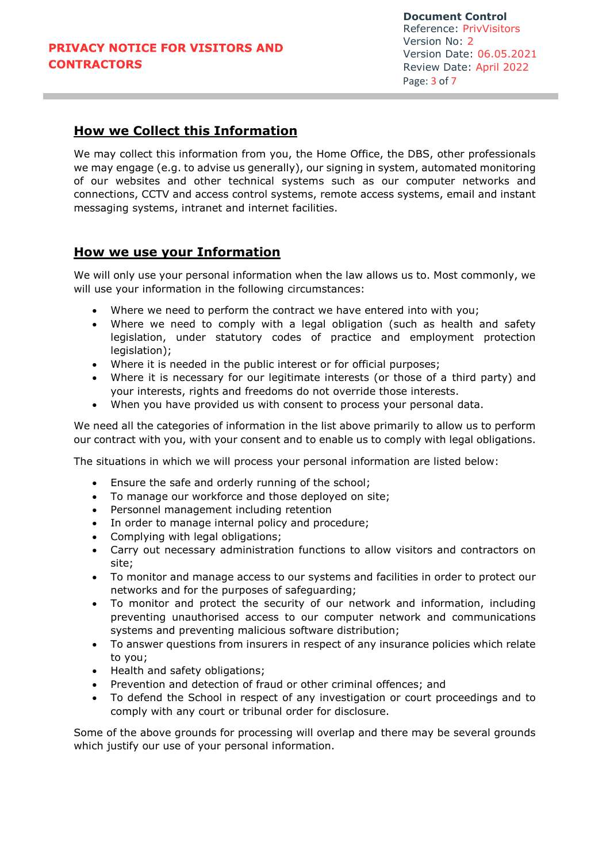# **How we Collect this Information**

We may collect this information from you, the Home Office, the DBS, other professionals we may engage (e.g. to advise us generally), our signing in system, automated monitoring of our websites and other technical systems such as our computer networks and connections, CCTV and access control systems, remote access systems, email and instant messaging systems, intranet and internet facilities.

#### **How we use your Information**

We will only use your personal information when the law allows us to. Most commonly, we will use your information in the following circumstances:

- Where we need to perform the contract we have entered into with you;
- Where we need to comply with a legal obligation (such as health and safety legislation, under statutory codes of practice and employment protection legislation);
- Where it is needed in the public interest or for official purposes;
- Where it is necessary for our legitimate interests (or those of a third party) and your interests, rights and freedoms do not override those interests.
- When you have provided us with consent to process your personal data.

We need all the categories of information in the list above primarily to allow us to perform our contract with you, with your consent and to enable us to comply with legal obligations.

The situations in which we will process your personal information are listed below:

- Ensure the safe and orderly running of the school;
- To manage our workforce and those deployed on site;
- Personnel management including retention
- In order to manage internal policy and procedure;
- Complying with legal obligations;
- Carry out necessary administration functions to allow visitors and contractors on site;
- To monitor and manage access to our systems and facilities in order to protect our networks and for the purposes of safeguarding;
- To monitor and protect the security of our network and information, including preventing unauthorised access to our computer network and communications systems and preventing malicious software distribution;
- To answer questions from insurers in respect of any insurance policies which relate to you;
- Health and safety obligations;
- Prevention and detection of fraud or other criminal offences; and
- To defend the School in respect of any investigation or court proceedings and to comply with any court or tribunal order for disclosure.

Some of the above grounds for processing will overlap and there may be several grounds which justify our use of your personal information.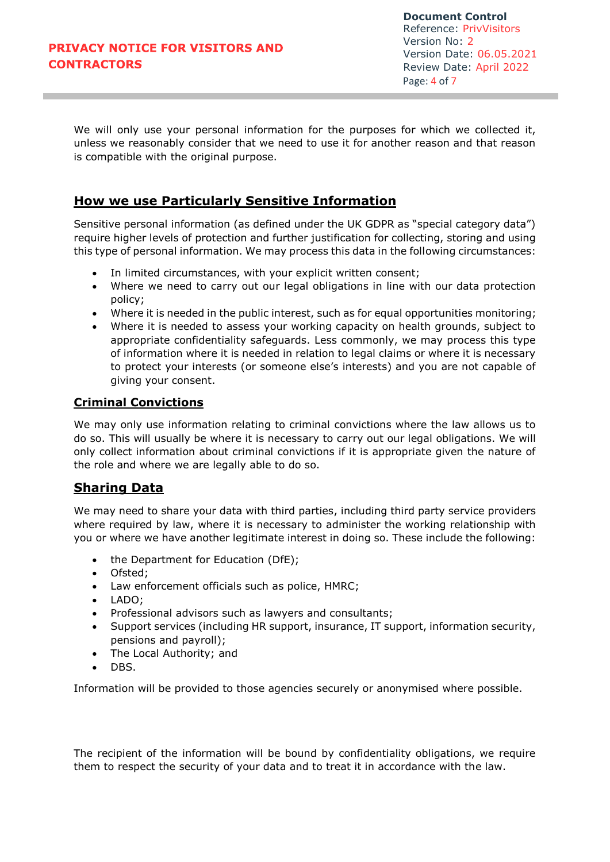We will only use your personal information for the purposes for which we collected it, unless we reasonably consider that we need to use it for another reason and that reason is compatible with the original purpose.

# **How we use Particularly Sensitive Information**

Sensitive personal information (as defined under the UK GDPR as "special category data") require higher levels of protection and further justification for collecting, storing and using this type of personal information. We may process this data in the following circumstances:

- In limited circumstances, with your explicit written consent;
- Where we need to carry out our legal obligations in line with our data protection policy;
- Where it is needed in the public interest, such as for equal opportunities monitoring;
- Where it is needed to assess your working capacity on health grounds, subject to appropriate confidentiality safeguards. Less commonly, we may process this type of information where it is needed in relation to legal claims or where it is necessary to protect your interests (or someone else's interests) and you are not capable of giving your consent.

#### **Criminal Convictions**

We may only use information relating to criminal convictions where the law allows us to do so. This will usually be where it is necessary to carry out our legal obligations. We will only collect information about criminal convictions if it is appropriate given the nature of the role and where we are legally able to do so.

# **Sharing Data**

We may need to share your data with third parties, including third party service providers where required by law, where it is necessary to administer the working relationship with you or where we have another legitimate interest in doing so. These include the following:

- the Department for Education (DfE);
- Ofsted;
- Law enforcement officials such as police, HMRC;
- LADO;
- Professional advisors such as lawyers and consultants;
- Support services (including HR support, insurance, IT support, information security, pensions and payroll);
- The Local Authority; and
- $\bullet$  DBS.

Information will be provided to those agencies securely or anonymised where possible.

The recipient of the information will be bound by confidentiality obligations, we require them to respect the security of your data and to treat it in accordance with the law.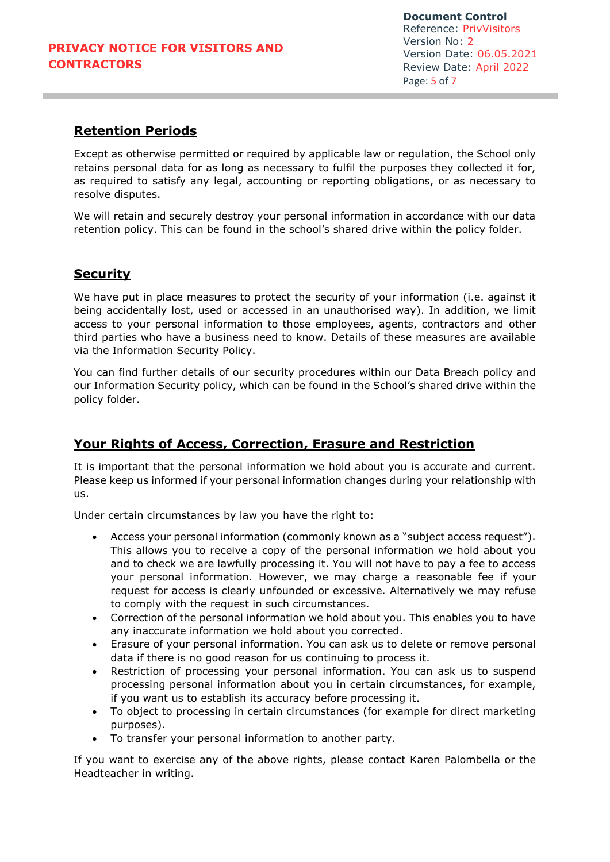**Document Control** Reference: PrivVisitors Version No: 2 Version Date: 06.05.2021 Review Date: April 2022 Page: 5 of 7

# **Retention Periods**

Except as otherwise permitted or required by applicable law or regulation, the School only retains personal data for as long as necessary to fulfil the purposes they collected it for, as required to satisfy any legal, accounting or reporting obligations, or as necessary to resolve disputes.

We will retain and securely destroy your personal information in accordance with our data retention policy. This can be found in the school's shared drive within the policy folder.

#### **Security**

We have put in place measures to protect the security of your information (i.e. against it being accidentally lost, used or accessed in an unauthorised way). In addition, we limit access to your personal information to those employees, agents, contractors and other third parties who have a business need to know. Details of these measures are available via the Information Security Policy.

You can find further details of our security procedures within our Data Breach policy and our Information Security policy, which can be found in the School's shared drive within the policy folder.

# **Your Rights of Access, Correction, Erasure and Restriction**

It is important that the personal information we hold about you is accurate and current. Please keep us informed if your personal information changes during your relationship with us.

Under certain circumstances by law you have the right to:

- Access your personal information (commonly known as a "subject access request"). This allows you to receive a copy of the personal information we hold about you and to check we are lawfully processing it. You will not have to pay a fee to access your personal information. However, we may charge a reasonable fee if your request for access is clearly unfounded or excessive. Alternatively we may refuse to comply with the request in such circumstances.
- Correction of the personal information we hold about you. This enables you to have any inaccurate information we hold about you corrected.
- Erasure of your personal information. You can ask us to delete or remove personal data if there is no good reason for us continuing to process it.
- Restriction of processing your personal information. You can ask us to suspend processing personal information about you in certain circumstances, for example, if you want us to establish its accuracy before processing it.
- To object to processing in certain circumstances (for example for direct marketing purposes).
- To transfer your personal information to another party.

If you want to exercise any of the above rights, please contact Karen Palombella or the Headteacher in writing.